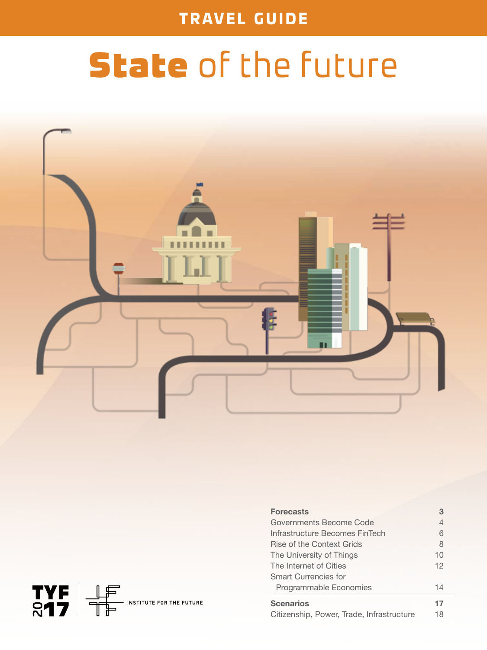# **TRAVEL GUIDE**

# **State of the future**





#### **Forecasts** 3<br>Governments Become Code 4 Governments Become Code 4<br>
Infrastructure Becomes FinTech 6 Infrastructure Becomes FinTech 6 Rise of the Context Grids 8 The University of Things 10 The Internet of Cities 12 Smart Currencies for Programmable Economies 14 **Scenarios 17** Citizenship, Power, Trade, Infrastructure 18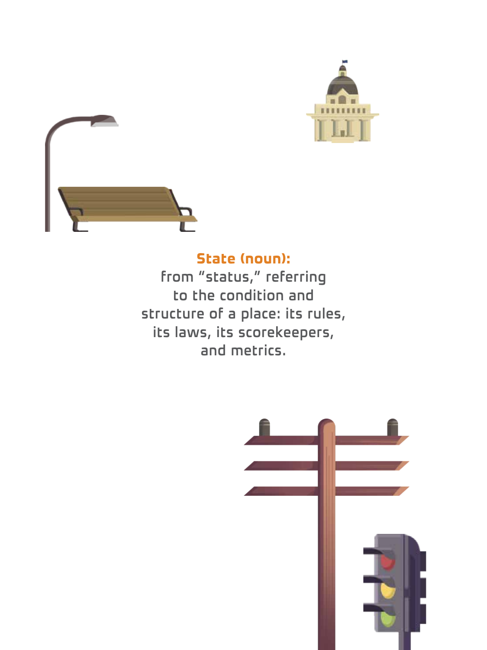



# **State (noun):**

from "status," referring to the condition and structure of a place: its rules, its laws, its scorekeepers, and metrics.

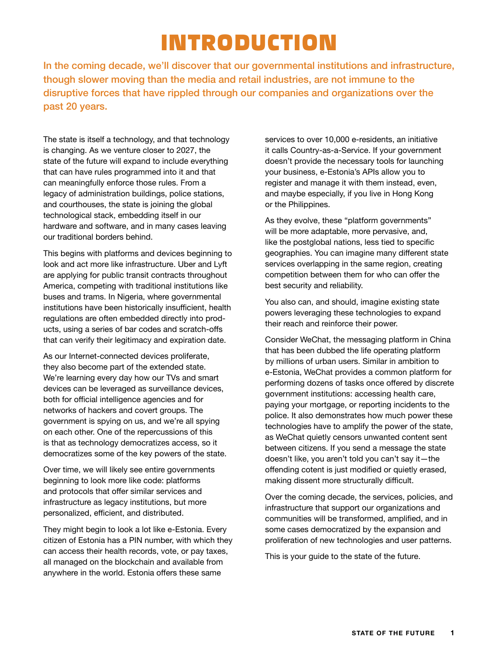# INTRODUCTION

In the coming decade, we'll discover that our governmental institutions and infrastructure, though slower moving than the media and retail industries, are not immune to the disruptive forces that have rippled through our companies and organizations over the past 20 years.

The state is itself a technology, and that technology is changing. As we venture closer to 2027, the state of the future will expand to include everything that can have rules programmed into it and that can meaningfully enforce those rules. From a legacy of administration buildings, police stations, and courthouses, the state is joining the global technological stack, embedding itself in our hardware and software, and in many cases leaving our traditional borders behind.

This begins with platforms and devices beginning to look and act more like infrastructure. Uber and Lyft are applying for public transit contracts throughout America, competing with traditional institutions like buses and trams. In Nigeria, where governmental institutions have been historically insufficient, health regulations are often embedded directly into products, using a series of bar codes and scratch-offs that can verify their legitimacy and expiration date.

As our Internet-connected devices proliferate, they also become part of the extended state. We're learning every day how our TVs and smart devices can be leveraged as surveillance devices, both for official intelligence agencies and for networks of hackers and covert groups. The government is spying on us, and we're all spying on each other. One of the repercussions of this is that as technology democratizes access, so it democratizes some of the key powers of the state.

Over time, we will likely see entire governments beginning to look more like code: platforms and protocols that offer similar services and infrastructure as legacy institutions, but more personalized, efficient, and distributed.

They might begin to look a lot like e-Estonia. Every citizen of Estonia has a PIN number, with which they can access their health records, vote, or pay taxes, all managed on the blockchain and available from anywhere in the world. Estonia offers these same

services to over 10,000 e-residents, an initiative it calls Country-as-a-Service. If your government doesn't provide the necessary tools for launching your business, e-Estonia's APIs allow you to register and manage it with them instead, even, and maybe especially, if you live in Hong Kong or the Philippines.

As they evolve, these "platform governments" will be more adaptable, more pervasive, and, like the postglobal nations, less tied to specific geographies. You can imagine many different state services overlapping in the same region, creating competition between them for who can offer the best security and reliability.

You also can, and should, imagine existing state powers leveraging these technologies to expand their reach and reinforce their power.

Consider WeChat, the messaging platform in China that has been dubbed the life operating platform by millions of urban users. Similar in ambition to e-Estonia, WeChat provides a common platform for performing dozens of tasks once offered by discrete government institutions: accessing health care, paying your mortgage, or reporting incidents to the police. It also demonstrates how much power these technologies have to amplify the power of the state, as WeChat quietly censors unwanted content sent between citizens. If you send a message the state doesn't like, you aren't told you can't say it—the offending cotent is just modified or quietly erased, making dissent more structurally difficult.

Over the coming decade, the services, policies, and infrastructure that support our organizations and communities will be transformed, amplified, and in some cases democratized by the expansion and proliferation of new technologies and user patterns.

This is your guide to the state of the future.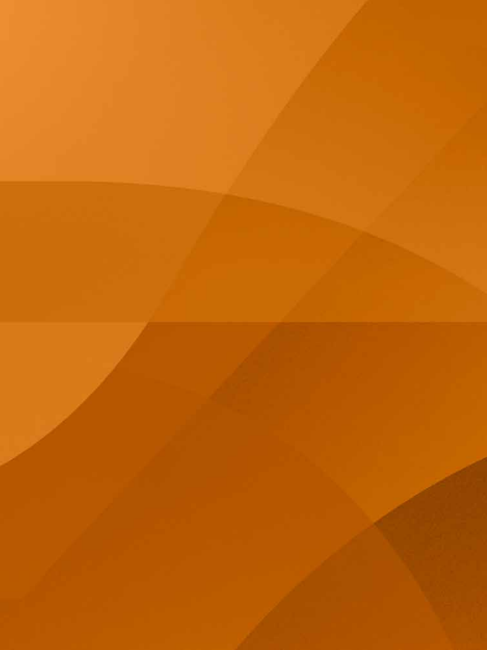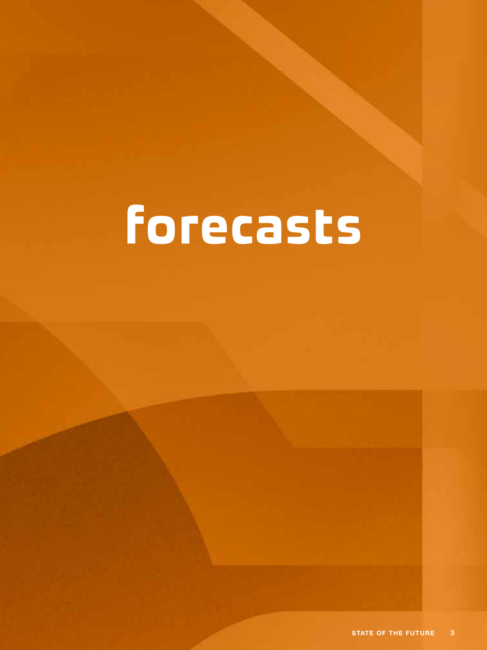# **forecasts**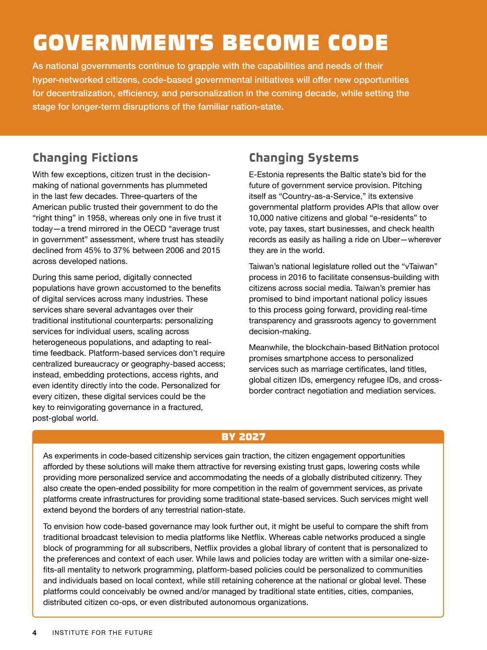# GOVERNMENTS BECOME CODE

As national governments continue to grapple with the capabilities and needs of their hyper-networked citizens, code-based governmental initiatives will offer new opportunities for decentralization, efficiency, and personalization in the coming decade, while setting the stage for longer-term disruptions of the familiar nation-state.

## **Changing Fictions**

With few exceptions, citizen trust in the decisionmaking of national governments has plummeted in the last few decades. Three-quarters of the American public trusted their government to do the "right thing" in 1958, whereas only one in five trust it today—a trend mirrored in the OECD "average trust in government" assessment, where trust has steadily declined from 45% to 37% between 2006 and 2015 across developed nations.

During this same period, digitally connected populations have grown accustomed to the benefits of digital services across many industries. These services share several advantages over their traditional institutional counterparts: personalizing services for individual users, scaling across heterogeneous populations, and adapting to realtime feedback. Platform-based services don't require centralized bureaucracy or geography-based access; instead, embedding protections, access rights, and even identity directly into the code. Personalized for every citizen, these digital services could be the key to reinvigorating governance in a fractured, post-global world.

# **Changing Systems**

E-Estonia represents the Baltic state's bid for the future of government service provision. Pitching itself as "Country-as-a-Service," its extensive governmental platform provides APIs that allow over 10,000 native citizens and global "e-residents" to vote, pay taxes, start businesses, and check health records as easily as hailing a ride on Uber—wherever they are in the world.

Taiwan's national legislature rolled out the "vTaiwan" process in 2016 to facilitate consensus-building with citizens across social media. Taiwan's premier has promised to bind important national policy issues to this process going forward, providing real-time transparency and grassroots agency to government decision-making.

Meanwhile, the blockchain-based BitNation protocol promises smartphone access to personalized services such as marriage certificates, land titles, global citizen IDs, emergency refugee IDs, and crossborder contract negotiation and mediation services.

#### BY 2027

As experiments in code-based citizenship services gain traction, the citizen engagement opportunities afforded by these solutions will make them attractive for reversing existing trust gaps, lowering costs while providing more personalized service and accommodating the needs of a globally distributed citizenry. They also create the open-ended possibility for more competition in the realm of government services, as private platforms create infrastructures for providing some traditional state-based services. Such services might well extend beyond the borders of any terrestrial nation-state.

To envision how code-based governance may look further out, it might be useful to compare the shift from traditional broadcast television to media platforms like Netflix. Whereas cable networks produced a single block of programming for all subscribers, Netflix provides a global library of content that is personalized to the preferences and context of each user. While laws and policies today are written with a similar one-sizefits-all mentality to network programming, platform-based policies could be personalized to communities and individuals based on local context, while still retaining coherence at the national or global level. These platforms could conceivably be owned and/or managed by traditional state entities, cities, companies, distributed citizen co-ops, or even distributed autonomous organizations.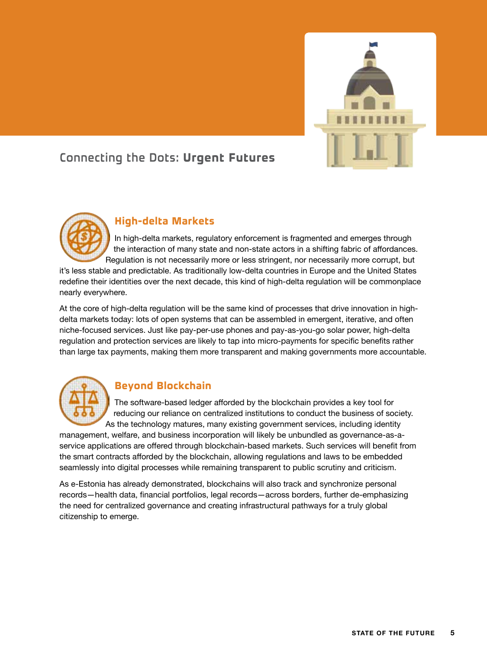



#### **High-delta Markets**

In high-delta markets, regulatory enforcement is fragmented and emerges through the interaction of many state and non-state actors in a shifting fabric of affordances. Regulation is not necessarily more or less stringent, nor necessarily more corrupt, but

it's less stable and predictable. As traditionally low-delta countries in Europe and the United States redefine their identities over the next decade, this kind of high-delta regulation will be commonplace nearly everywhere.

At the core of high-delta regulation will be the same kind of processes that drive innovation in highdelta markets today: lots of open systems that can be assembled in emergent, iterative, and often niche-focused services. Just like pay-per-use phones and pay-as-you-go solar power, high-delta regulation and protection services are likely to tap into micro-payments for specific benefits rather than large tax payments, making them more transparent and making governments more accountable.



#### **Beyond Blockchain**

The software-based ledger afforded by the blockchain provides a key tool for reducing our reliance on centralized institutions to conduct the business of society. As the technology matures, many existing government services, including identity

management, welfare, and business incorporation will likely be unbundled as governance-as-aservice applications are offered through blockchain-based markets. Such services will benefit from the smart contracts afforded by the blockchain, allowing regulations and laws to be embedded seamlessly into digital processes while remaining transparent to public scrutiny and criticism.

As e-Estonia has already demonstrated, blockchains will also track and synchronize personal records—health data, financial portfolios, legal records—across borders, further de-emphasizing the need for centralized governance and creating infrastructural pathways for a truly global citizenship to emerge.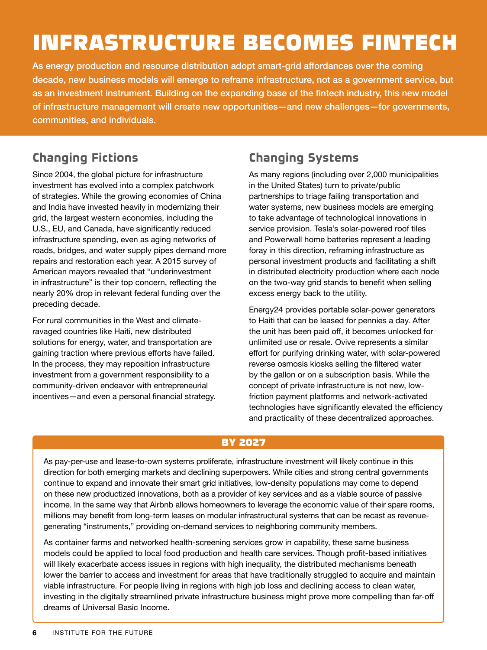# INFRASTRUCTURE BECOMES FINTECH

As energy production and resource distribution adopt smart-grid affordances over the coming decade, new business models will emerge to reframe infrastructure, not as a government service, but as an investment instrument. Building on the expanding base of the fintech industry, this new model of infrastructure management will create new opportunities—and new challenges—for governments, communities, and individuals.

## **Changing Fictions**

Since 2004, the global picture for infrastructure investment has evolved into a complex patchwork of strategies. While the growing economies of China and India have invested heavily in modernizing their grid, the largest western economies, including the U.S., EU, and Canada, have significantly reduced infrastructure spending, even as aging networks of roads, bridges, and water supply pipes demand more repairs and restoration each year. A 2015 survey of American mayors revealed that "underinvestment in infrastructure" is their top concern, reflecting the nearly 20% drop in relevant federal funding over the preceding decade.

For rural communities in the West and climateravaged countries like Haiti, new distributed solutions for energy, water, and transportation are gaining traction where previous efforts have failed. In the process, they may reposition infrastructure investment from a government responsibility to a community-driven endeavor with entrepreneurial incentives—and even a personal financial strategy.

# **Changing Systems**

As many regions (including over 2,000 municipalities in the United States) turn to private/public partnerships to triage failing transportation and water systems, new business models are emerging to take advantage of technological innovations in service provision. Tesla's solar-powered roof tiles and Powerwall home batteries represent a leading foray in this direction, reframing infrastructure as personal investment products and facilitating a shift in distributed electricity production where each node on the two-way grid stands to benefit when selling excess energy back to the utility.

Energy24 provides portable solar-power generators to Haiti that can be leased for pennies a day. After the unit has been paid off, it becomes unlocked for unlimited use or resale. Ovive represents a similar effort for purifying drinking water, with solar-powered reverse osmosis kiosks selling the filtered water by the gallon or on a subscription basis. While the concept of private infrastructure is not new, lowfriction payment platforms and network-activated technologies have significantly elevated the efficiency and practicality of these decentralized approaches.

#### BY 2027

As pay-per-use and lease-to-own systems proliferate, infrastructure investment will likely continue in this direction for both emerging markets and declining superpowers. While cities and strong central governments continue to expand and innovate their smart grid initiatives, low-density populations may come to depend on these new productized innovations, both as a provider of key services and as a viable source of passive income. In the same way that Airbnb allows homeowners to leverage the economic value of their spare rooms, millions may benefit from long-term leases on modular infrastructural systems that can be recast as revenuegenerating "instruments," providing on-demand services to neighboring community members.

As container farms and networked health-screening services grow in capability, these same business models could be applied to local food production and health care services. Though profit-based initiatives will likely exacerbate access issues in regions with high inequality, the distributed mechanisms beneath lower the barrier to access and investment for areas that have traditionally struggled to acquire and maintain viable infrastructure. For people living in regions with high job loss and declining access to clean water, investing in the digitally streamlined private infrastructure business might prove more compelling than far-off dreams of Universal Basic Income.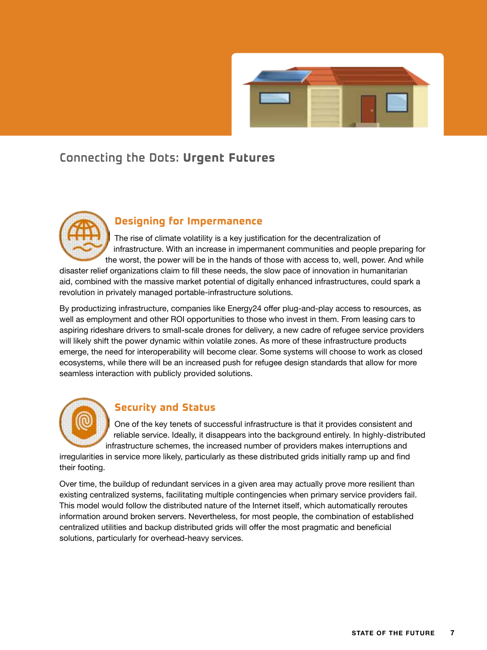



#### **Designing for Impermanence**

The rise of climate volatility is a key justification for the decentralization of infrastructure. With an increase in impermanent communities and people preparing for the worst, the power will be in the hands of those with access to, well, power. And while

disaster relief organizations claim to fill these needs, the slow pace of innovation in humanitarian aid, combined with the massive market potential of digitally enhanced infrastructures, could spark a revolution in privately managed portable-infrastructure solutions.

By productizing infrastructure, companies like Energy24 offer plug-and-play access to resources, as well as employment and other ROI opportunities to those who invest in them. From leasing cars to aspiring rideshare drivers to small-scale drones for delivery, a new cadre of refugee service providers will likely shift the power dynamic within volatile zones. As more of these infrastructure products emerge, the need for interoperability will become clear. Some systems will choose to work as closed ecosystems, while there will be an increased push for refugee design standards that allow for more seamless interaction with publicly provided solutions.



#### **Security and Status**

One of the key tenets of successful infrastructure is that it provides consistent and reliable service. Ideally, it disappears into the background entirely. In highly-distributed infrastructure schemes, the increased number of providers makes interruptions and

irregularities in service more likely, particularly as these distributed grids initially ramp up and find their footing.

Over time, the buildup of redundant services in a given area may actually prove more resilient than existing centralized systems, facilitating multiple contingencies when primary service providers fail. This model would follow the distributed nature of the Internet itself, which automatically reroutes information around broken servers. Nevertheless, for most people, the combination of established centralized utilities and backup distributed grids will offer the most pragmatic and beneficial solutions, particularly for overhead-heavy services.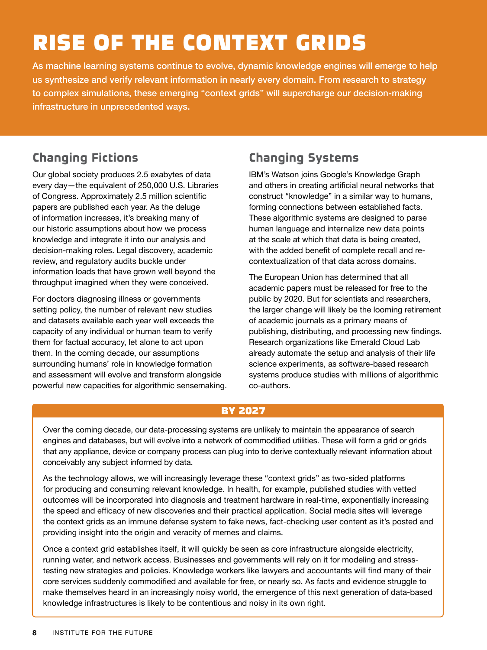# RISE OF THE CONTEXT GRIDS

As machine learning systems continue to evolve, dynamic knowledge engines will emerge to help us synthesize and verify relevant information in nearly every domain. From research to strategy to complex simulations, these emerging "context grids" will supercharge our decision-making infrastructure in unprecedented ways.

# **Changing Fictions**

Our global society produces 2.5 exabytes of data every day—the equivalent of 250,000 U.S. Libraries of Congress. Approximately 2.5 million scientific papers are published each year. As the deluge of information increases, it's breaking many of our historic assumptions about how we process knowledge and integrate it into our analysis and decision-making roles. Legal discovery, academic review, and regulatory audits buckle under information loads that have grown well beyond the throughput imagined when they were conceived.

For doctors diagnosing illness or governments setting policy, the number of relevant new studies and datasets available each year well exceeds the capacity of any individual or human team to verify them for factual accuracy, let alone to act upon them. In the coming decade, our assumptions surrounding humans' role in knowledge formation and assessment will evolve and transform alongside powerful new capacities for algorithmic sensemaking.

# **Changing Systems**

IBM's Watson joins Google's Knowledge Graph and others in creating artificial neural networks that construct "knowledge" in a similar way to humans, forming connections between established facts. These algorithmic systems are designed to parse human language and internalize new data points at the scale at which that data is being created, with the added benefit of complete recall and recontextualization of that data across domains.

The European Union has determined that all academic papers must be released for free to the public by 2020. But for scientists and researchers, the larger change will likely be the looming retirement of academic journals as a primary means of publishing, distributing, and processing new findings. Research organizations like Emerald Cloud Lab already automate the setup and analysis of their life science experiments, as software-based research systems produce studies with millions of algorithmic co-authors.

#### BY 2027

Over the coming decade, our data-processing systems are unlikely to maintain the appearance of search engines and databases, but will evolve into a network of commodified utilities. These will form a grid or grids that any appliance, device or company process can plug into to derive contextually relevant information about conceivably any subject informed by data.

As the technology allows, we will increasingly leverage these "context grids" as two-sided platforms for producing and consuming relevant knowledge. In health, for example, published studies with vetted outcomes will be incorporated into diagnosis and treatment hardware in real-time, exponentially increasing the speed and efficacy of new discoveries and their practical application. Social media sites will leverage the context grids as an immune defense system to fake news, fact-checking user content as it's posted and providing insight into the origin and veracity of memes and claims.

Once a context grid establishes itself, it will quickly be seen as core infrastructure alongside electricity, running water, and network access. Businesses and governments will rely on it for modeling and stresstesting new strategies and policies. Knowledge workers like lawyers and accountants will find many of their core services suddenly commodified and available for free, or nearly so. As facts and evidence struggle to make themselves heard in an increasingly noisy world, the emergence of this next generation of data-based knowledge infrastructures is likely to be contentious and noisy in its own right.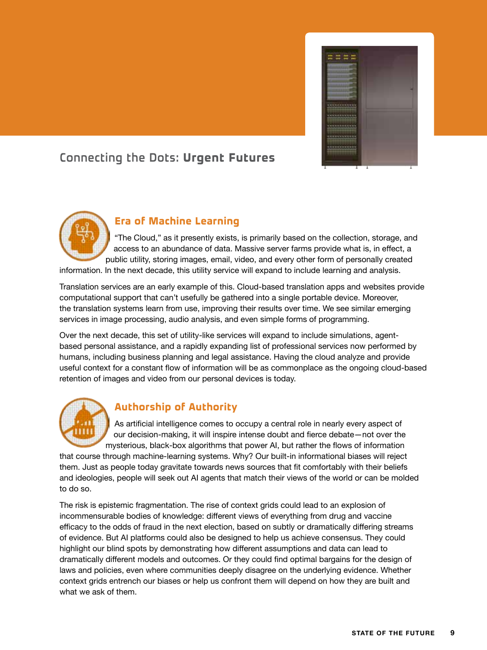



#### **Era of Machine Learning**

"The Cloud," as it presently exists, is primarily based on the collection, storage, and access to an abundance of data. Massive server farms provide what is, in effect, a public utility, storing images, email, video, and every other form of personally created information. In the next decade, this utility service will expand to include learning and analysis.

Translation services are an early example of this. Cloud-based translation apps and websites provide computational support that can't usefully be gathered into a single portable device. Moreover, the translation systems learn from use, improving their results over time. We see similar emerging services in image processing, audio analysis, and even simple forms of programming.

Over the next decade, this set of utility-like services will expand to include simulations, agentbased personal assistance, and a rapidly expanding list of professional services now performed by humans, including business planning and legal assistance. Having the cloud analyze and provide useful context for a constant flow of information will be as commonplace as the ongoing cloud-based retention of images and video from our personal devices is today.



#### **Authorship of Authority**

As artificial intelligence comes to occupy a central role in nearly every aspect of our decision-making, it will inspire intense doubt and fierce debate—not over the mysterious, black-box algorithms that power AI, but rather the flows of information

that course through machine-learning systems. Why? Our built-in informational biases will reject them. Just as people today gravitate towards news sources that fit comfortably with their beliefs and ideologies, people will seek out AI agents that match their views of the world or can be molded to do so.

The risk is epistemic fragmentation. The rise of context grids could lead to an explosion of incommensurable bodies of knowledge: different views of everything from drug and vaccine efficacy to the odds of fraud in the next election, based on subtly or dramatically differing streams of evidence. But AI platforms could also be designed to help us achieve consensus. They could highlight our blind spots by demonstrating how different assumptions and data can lead to dramatically different models and outcomes. Or they could find optimal bargains for the design of laws and policies, even where communities deeply disagree on the underlying evidence. Whether context grids entrench our biases or help us confront them will depend on how they are built and what we ask of them.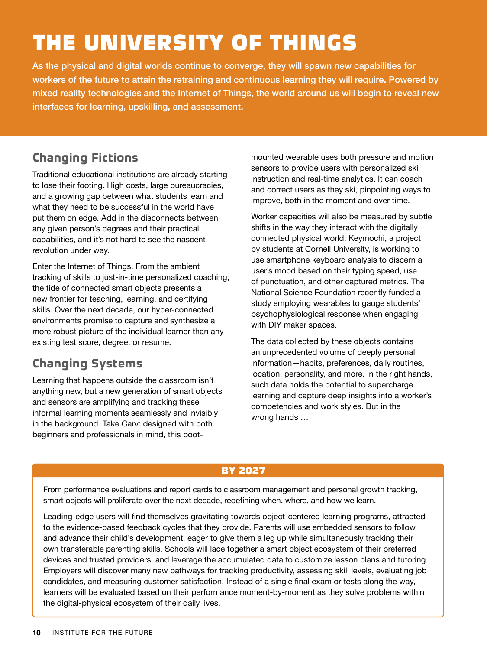# THE UNIVERSITY OF THINGS

As the physical and digital worlds continue to converge, they will spawn new capabilities for workers of the future to attain the retraining and continuous learning they will require. Powered by mixed reality technologies and the Internet of Things, the world around us will begin to reveal new interfaces for learning, upskilling, and assessment.

## **Changing Fictions**

Traditional educational institutions are already starting to lose their footing. High costs, large bureaucracies, and a growing gap between what students learn and what they need to be successful in the world have put them on edge. Add in the disconnects between any given person's degrees and their practical capabilities, and it's not hard to see the nascent revolution under way.

Enter the Internet of Things. From the ambient tracking of skills to just-in-time personalized coaching, the tide of connected smart objects presents a new frontier for teaching, learning, and certifying skills. Over the next decade, our hyper-connected environments promise to capture and synthesize a more robust picture of the individual learner than any existing test score, degree, or resume.

# **Changing Systems**

Learning that happens outside the classroom isn't anything new, but a new generation of smart objects and sensors are amplifying and tracking these informal learning moments seamlessly and invisibly in the background. Take Carv: designed with both beginners and professionals in mind, this bootmounted wearable uses both pressure and motion sensors to provide users with personalized ski instruction and real-time analytics. It can coach and correct users as they ski, pinpointing ways to improve, both in the moment and over time.

Worker capacities will also be measured by subtle shifts in the way they interact with the digitally connected physical world. Keymochi, a project by students at Cornell University, is working to use smartphone keyboard analysis to discern a user's mood based on their typing speed, use of punctuation, and other captured metrics. The National Science Foundation recently funded a study employing wearables to gauge students' psychophysiological response when engaging with DIY maker spaces.

The data collected by these objects contains an unprecedented volume of deeply personal information—habits, preferences, daily routines, location, personality, and more. In the right hands, such data holds the potential to supercharge learning and capture deep insights into a worker's competencies and work styles. But in the wrong hands …

#### BY 2027

From performance evaluations and report cards to classroom management and personal growth tracking, smart objects will proliferate over the next decade, redefining when, where, and how we learn.

Leading-edge users will find themselves gravitating towards object-centered learning programs, attracted to the evidence-based feedback cycles that they provide. Parents will use embedded sensors to follow and advance their child's development, eager to give them a leg up while simultaneously tracking their own transferable parenting skills. Schools will lace together a smart object ecosystem of their preferred devices and trusted providers, and leverage the accumulated data to customize lesson plans and tutoring. Employers will discover many new pathways for tracking productivity, assessing skill levels, evaluating job candidates, and measuring customer satisfaction. Instead of a single final exam or tests along the way, learners will be evaluated based on their performance moment-by-moment as they solve problems within the digital-physical ecosystem of their daily lives.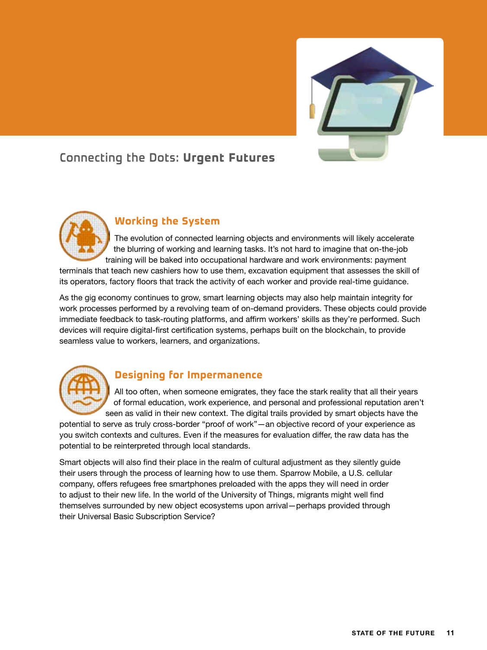



#### **Working the System**

The evolution of connected learning objects and environments will likely accelerate the blurring of working and learning tasks. It's not hard to imagine that on-the-job training will be baked into occupational hardware and work environments: payment

terminals that teach new cashiers how to use them, excavation equipment that assesses the skill of its operators, factory floors that track the activity of each worker and provide real-time guidance.

As the gig economy continues to grow, smart learning objects may also help maintain integrity for work processes performed by a revolving team of on-demand providers. These objects could provide immediate feedback to task-routing platforms, and affirm workers' skills as they're performed. Such devices will require digital-first certification systems, perhaps built on the blockchain, to provide seamless value to workers, learners, and organizations.



#### **Designing for Impermanence**

All too often, when someone emigrates, they face the stark reality that all their years of formal education, work experience, and personal and professional reputation aren't seen as valid in their new context. The digital trails provided by smart objects have the

potential to serve as truly cross-border "proof of work"—an objective record of your experience as you switch contexts and cultures. Even if the measures for evaluation differ, the raw data has the potential to be reinterpreted through local standards.

Smart objects will also find their place in the realm of cultural adjustment as they silently guide their users through the process of learning how to use them. Sparrow Mobile, a U.S. cellular company, offers refugees free smartphones preloaded with the apps they will need in order to adjust to their new life. In the world of the University of Things, migrants might well find themselves surrounded by new object ecosystems upon arrival—perhaps provided through their Universal Basic Subscription Service?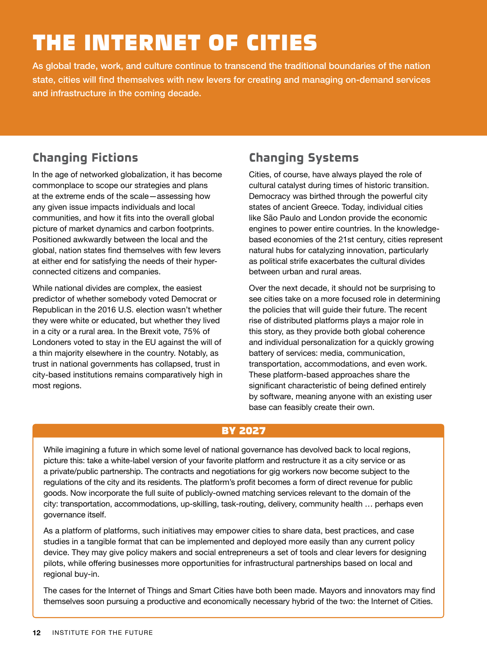# THE INTERNET OF CITIES

As global trade, work, and culture continue to transcend the traditional boundaries of the nation state, cities will find themselves with new levers for creating and managing on-demand services and infrastructure in the coming decade.

# **Changing Fictions**

In the age of networked globalization, it has become commonplace to scope our strategies and plans at the extreme ends of the scale—assessing how any given issue impacts individuals and local communities, and how it fits into the overall global picture of market dynamics and carbon footprints. Positioned awkwardly between the local and the global, nation states find themselves with few levers at either end for satisfying the needs of their hyperconnected citizens and companies.

While national divides are complex, the easiest predictor of whether somebody voted Democrat or Republican in the 2016 U.S. election wasn't whether they were white or educated, but whether they lived in a city or a rural area. In the Brexit vote, 75% of Londoners voted to stay in the EU against the will of a thin majority elsewhere in the country. Notably, as trust in national governments has collapsed, trust in city-based institutions remains comparatively high in most regions.

# **Changing Systems**

Cities, of course, have always played the role of cultural catalyst during times of historic transition. Democracy was birthed through the powerful city states of ancient Greece. Today, individual cities like São Paulo and London provide the economic engines to power entire countries. In the knowledgebased economies of the 21st century, cities represent natural hubs for catalyzing innovation, particularly as political strife exacerbates the cultural divides between urban and rural areas.

Over the next decade, it should not be surprising to see cities take on a more focused role in determining the policies that will guide their future. The recent rise of distributed platforms plays a major role in this story, as they provide both global coherence and individual personalization for a quickly growing battery of services: media, communication, transportation, accommodations, and even work. These platform-based approaches share the significant characteristic of being defined entirely by software, meaning anyone with an existing user base can feasibly create their own.

#### BY 2027

While imagining a future in which some level of national governance has devolved back to local regions, picture this: take a white-label version of your favorite platform and restructure it as a city service or as a private/public partnership. The contracts and negotiations for gig workers now become subject to the regulations of the city and its residents. The platform's profit becomes a form of direct revenue for public goods. Now incorporate the full suite of publicly-owned matching services relevant to the domain of the city: transportation, accommodations, up-skilling, task-routing, delivery, community health … perhaps even governance itself.

As a platform of platforms, such initiatives may empower cities to share data, best practices, and case studies in a tangible format that can be implemented and deployed more easily than any current policy device. They may give policy makers and social entrepreneurs a set of tools and clear levers for designing pilots, while offering businesses more opportunities for infrastructural partnerships based on local and regional buy-in.

The cases for the Internet of Things and Smart Cities have both been made. Mayors and innovators may find themselves soon pursuing a productive and economically necessary hybrid of the two: the Internet of Cities.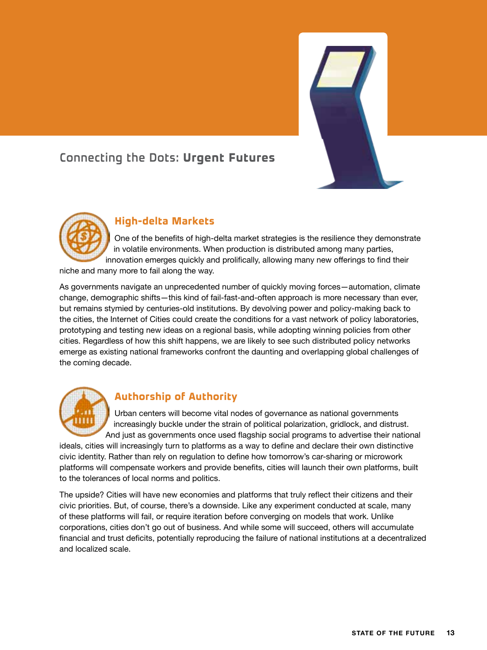



#### **High-delta Markets**

One of the benefits of high-delta market strategies is the resilience they demonstrate in volatile environments. When production is distributed among many parties, innovation emerges quickly and prolifically, allowing many new offerings to find their

niche and many more to fail along the way.

As governments navigate an unprecedented number of quickly moving forces—automation, climate change, demographic shifts—this kind of fail-fast-and-often approach is more necessary than ever, but remains stymied by centuries-old institutions. By devolving power and policy-making back to the cities, the Internet of Cities could create the conditions for a vast network of policy laboratories, prototyping and testing new ideas on a regional basis, while adopting winning policies from other cities. Regardless of how this shift happens, we are likely to see such distributed policy networks emerge as existing national frameworks confront the daunting and overlapping global challenges of the coming decade.



#### **Authorship of Authority**

Urban centers will become vital nodes of governance as national governments increasingly buckle under the strain of political polarization, gridlock, and distrust. And just as governments once used flagship social programs to advertise their national

ideals, cities will increasingly turn to platforms as a way to define and declare their own distinctive civic identity. Rather than rely on regulation to define how tomorrow's car-sharing or microwork platforms will compensate workers and provide benefits, cities will launch their own platforms, built to the tolerances of local norms and politics.

The upside? Cities will have new economies and platforms that truly reflect their citizens and their civic priorities. But, of course, there's a downside. Like any experiment conducted at scale, many of these platforms will fail, or require iteration before converging on models that work. Unlike corporations, cities don't go out of business. And while some will succeed, others will accumulate financial and trust deficits, potentially reproducing the failure of national institutions at a decentralized and localized scale.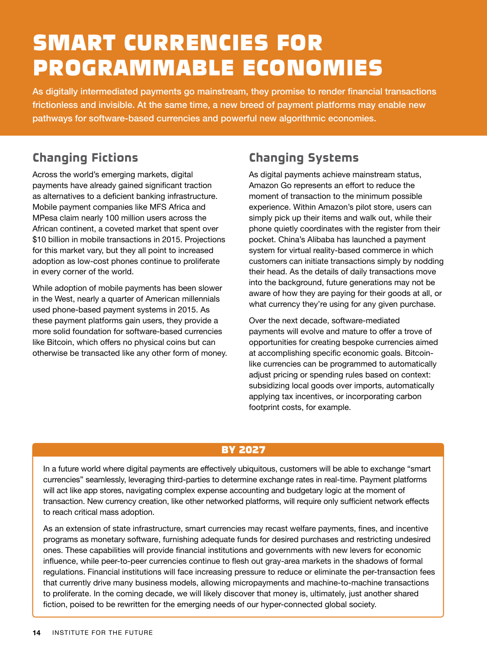# SMART CURRENCIES FOR PROGRAMMABLE ECONOMIES

As digitally intermediated payments go mainstream, they promise to render financial transactions frictionless and invisible. At the same time, a new breed of payment platforms may enable new pathways for software-based currencies and powerful new algorithmic economies.

## **Changing Fictions**

Across the world's emerging markets, digital payments have already gained significant traction as alternatives to a deficient banking infrastructure. Mobile payment companies like MFS Africa and MPesa claim nearly 100 million users across the African continent, a coveted market that spent over \$10 billion in mobile transactions in 2015. Projections for this market vary, but they all point to increased adoption as low-cost phones continue to proliferate in every corner of the world.

While adoption of mobile payments has been slower in the West, nearly a quarter of American millennials used phone-based payment systems in 2015. As these payment platforms gain users, they provide a more solid foundation for software-based currencies like Bitcoin, which offers no physical coins but can otherwise be transacted like any other form of money.

# **Changing Systems**

As digital payments achieve mainstream status, Amazon Go represents an effort to reduce the moment of transaction to the minimum possible experience. Within Amazon's pilot store, users can simply pick up their items and walk out, while their phone quietly coordinates with the register from their pocket. China's Alibaba has launched a payment system for virtual reality-based commerce in which customers can initiate transactions simply by nodding their head. As the details of daily transactions move into the background, future generations may not be aware of how they are paying for their goods at all, or what currency they're using for any given purchase.

Over the next decade, software-mediated payments will evolve and mature to offer a trove of opportunities for creating bespoke currencies aimed at accomplishing specific economic goals. Bitcoinlike currencies can be programmed to automatically adjust pricing or spending rules based on context: subsidizing local goods over imports, automatically applying tax incentives, or incorporating carbon footprint costs, for example.

#### BY 2027

In a future world where digital payments are effectively ubiquitous, customers will be able to exchange "smart currencies" seamlessly, leveraging third-parties to determine exchange rates in real-time. Payment platforms will act like app stores, navigating complex expense accounting and budgetary logic at the moment of transaction. New currency creation, like other networked platforms, will require only sufficient network effects to reach critical mass adoption.

As an extension of state infrastructure, smart currencies may recast welfare payments, fines, and incentive programs as monetary software, furnishing adequate funds for desired purchases and restricting undesired ones. These capabilities will provide financial institutions and governments with new levers for economic influence, while peer-to-peer currencies continue to flesh out gray-area markets in the shadows of formal regulations. Financial institutions will face increasing pressure to reduce or eliminate the per-transaction fees that currently drive many business models, allowing micropayments and machine-to-machine transactions to proliferate. In the coming decade, we will likely discover that money is, ultimately, just another shared fiction, poised to be rewritten for the emerging needs of our hyper-connected global society.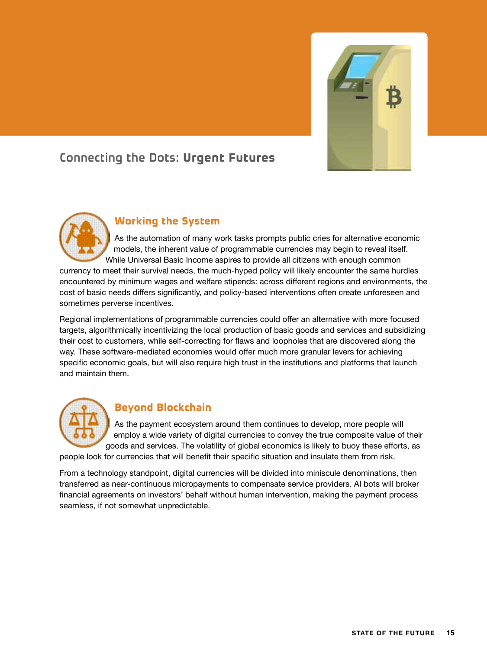



#### **Working the System**

As the automation of many work tasks prompts public cries for alternative economic models, the inherent value of programmable currencies may begin to reveal itself. While Universal Basic Income aspires to provide all citizens with enough common

currency to meet their survival needs, the much-hyped policy will likely encounter the same hurdles encountered by minimum wages and welfare stipends: across different regions and environments, the cost of basic needs differs significantly, and policy-based interventions often create unforeseen and sometimes perverse incentives.

Regional implementations of programmable currencies could offer an alternative with more focused targets, algorithmically incentivizing the local production of basic goods and services and subsidizing their cost to customers, while self-correcting for flaws and loopholes that are discovered along the way. These software-mediated economies would offer much more granular levers for achieving specific economic goals, but will also require high trust in the institutions and platforms that launch and maintain them.



#### **Beyond Blockchain**

As the payment ecosystem around them continues to develop, more people will employ a wide variety of digital currencies to convey the true composite value of their goods and services. The volatility of global economics is likely to buoy these efforts, as

people look for currencies that will benefit their specific situation and insulate them from risk.

From a technology standpoint, digital currencies will be divided into miniscule denominations, then transferred as near-continuous micropayments to compensate service providers. AI bots will broker financial agreements on investors' behalf without human intervention, making the payment process seamless, if not somewhat unpredictable.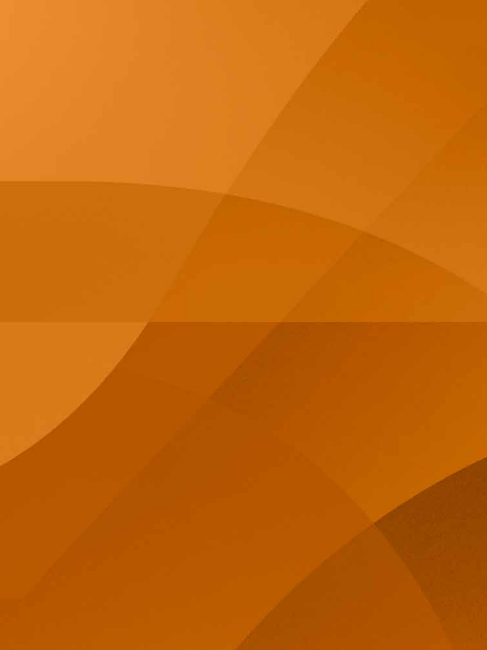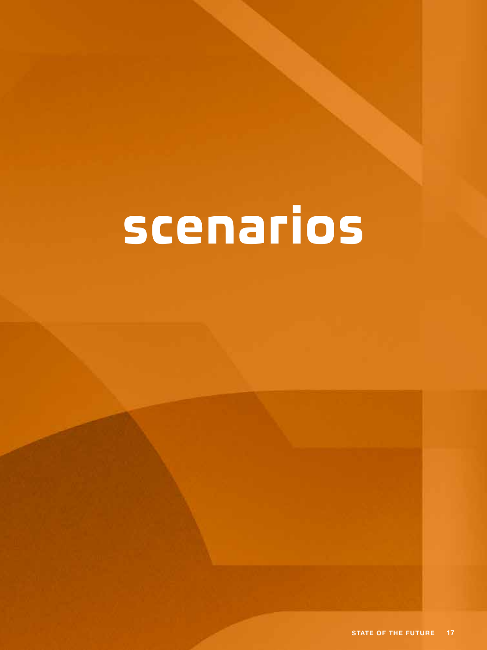# **scenarios**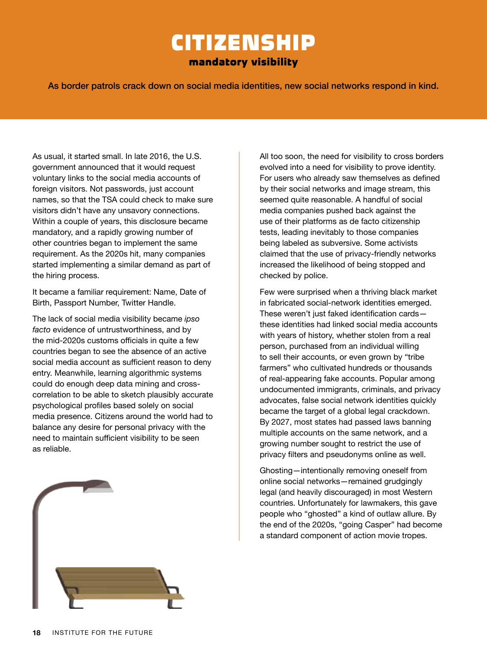# **CITIZENSHIP** mandatory visibility

As border patrols crack down on social media identities, new social networks respond in kind.

As usual, it started small. In late 2016, the U.S. government announced that it would request voluntary links to the social media accounts of foreign visitors. Not passwords, just account names, so that the TSA could check to make sure visitors didn't have any unsavory connections. Within a couple of years, this disclosure became mandatory, and a rapidly growing number of other countries began to implement the same requirement. As the 2020s hit, many companies started implementing a similar demand as part of the hiring process.

It became a familiar requirement: Name, Date of Birth, Passport Number, Twitter Handle.

The lack of social media visibility became *ipso facto* evidence of untrustworthiness, and by the mid-2020s customs officials in quite a few countries began to see the absence of an active social media account as sufficient reason to deny entry. Meanwhile, learning algorithmic systems could do enough deep data mining and crosscorrelation to be able to sketch plausibly accurate psychological profiles based solely on social media presence. Citizens around the world had to balance any desire for personal privacy with the need to maintain sufficient visibility to be seen as reliable.



All too soon, the need for visibility to cross borders evolved into a need for visibility to prove identity. For users who already saw themselves as defined by their social networks and image stream, this seemed quite reasonable. A handful of social media companies pushed back against the use of their platforms as de facto citizenship tests, leading inevitably to those companies being labeled as subversive. Some activists claimed that the use of privacy-friendly networks increased the likelihood of being stopped and checked by police.

Few were surprised when a thriving black market in fabricated social-network identities emerged. These weren't just faked identification cards these identities had linked social media accounts with years of history, whether stolen from a real person, purchased from an individual willing to sell their accounts, or even grown by "tribe farmers" who cultivated hundreds or thousands of real-appearing fake accounts. Popular among undocumented immigrants, criminals, and privacy advocates, false social network identities quickly became the target of a global legal crackdown. By 2027, most states had passed laws banning multiple accounts on the same network, and a growing number sought to restrict the use of privacy filters and pseudonyms online as well.

Ghosting—intentionally removing oneself from online social networks—remained grudgingly legal (and heavily discouraged) in most Western countries. Unfortunately for lawmakers, this gave people who "ghosted" a kind of outlaw allure. By the end of the 2020s, "going Casper" had become a standard component of action movie tropes.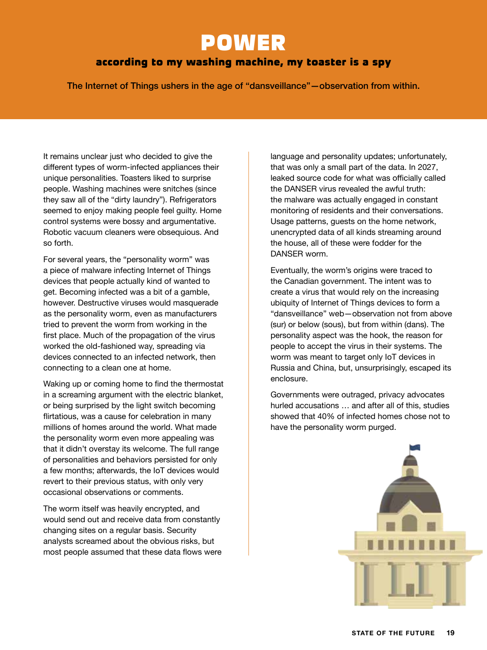# POWER

#### according to my washing machine, my toaster is a spy

The Internet of Things ushers in the age of "dansveillance"—observation from within.

It remains unclear just who decided to give the different types of worm-infected appliances their unique personalities. Toasters liked to surprise people. Washing machines were snitches (since they saw all of the "dirty laundry"). Refrigerators seemed to enjoy making people feel guilty. Home control systems were bossy and argumentative. Robotic vacuum cleaners were obsequious. And so forth.

For several years, the "personality worm" was a piece of malware infecting Internet of Things devices that people actually kind of wanted to get. Becoming infected was a bit of a gamble, however. Destructive viruses would masquerade as the personality worm, even as manufacturers tried to prevent the worm from working in the first place. Much of the propagation of the virus worked the old-fashioned way, spreading via devices connected to an infected network, then connecting to a clean one at home.

Waking up or coming home to find the thermostat in a screaming argument with the electric blanket, or being surprised by the light switch becoming flirtatious, was a cause for celebration in many millions of homes around the world. What made the personality worm even more appealing was that it didn't overstay its welcome. The full range of personalities and behaviors persisted for only a few months; afterwards, the IoT devices would revert to their previous status, with only very occasional observations or comments.

The worm itself was heavily encrypted, and would send out and receive data from constantly changing sites on a regular basis. Security analysts screamed about the obvious risks, but most people assumed that these data flows were

language and personality updates; unfortunately, that was only a small part of the data. In 2027, leaked source code for what was officially called the DANSER virus revealed the awful truth: the malware was actually engaged in constant monitoring of residents and their conversations. Usage patterns, guests on the home network, unencrypted data of all kinds streaming around the house, all of these were fodder for the DANSER worm.

Eventually, the worm's origins were traced to the Canadian government. The intent was to create a virus that would rely on the increasing ubiquity of Internet of Things devices to form a "dansveillance" web—observation not from above (sur) or below (sous), but from within (dans). The personality aspect was the hook, the reason for people to accept the virus in their systems. The worm was meant to target only IoT devices in Russia and China, but, unsurprisingly, escaped its enclosure.

Governments were outraged, privacy advocates hurled accusations … and after all of this, studies showed that 40% of infected homes chose not to have the personality worm purged.

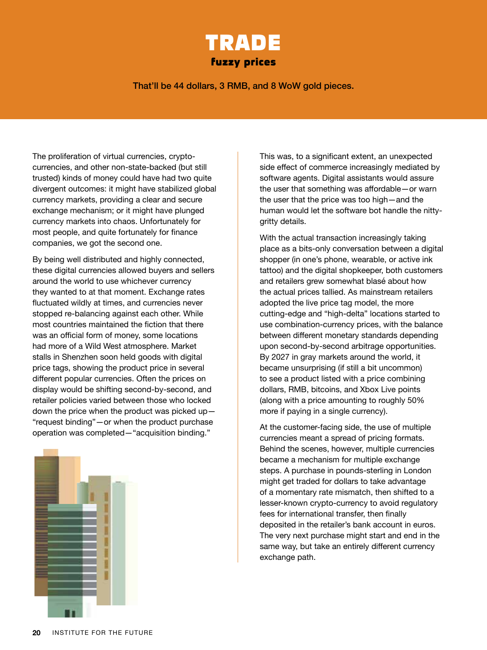

That'll be 44 dollars, 3 RMB, and 8 WoW gold pieces.

The proliferation of virtual currencies, cryptocurrencies, and other non-state-backed (but still trusted) kinds of money could have had two quite divergent outcomes: it might have stabilized global currency markets, providing a clear and secure exchange mechanism; or it might have plunged currency markets into chaos. Unfortunately for most people, and quite fortunately for finance companies, we got the second one.

By being well distributed and highly connected, these digital currencies allowed buyers and sellers around the world to use whichever currency they wanted to at that moment. Exchange rates fluctuated wildly at times, and currencies never stopped re-balancing against each other. While most countries maintained the fiction that there was an official form of money, some locations had more of a Wild West atmosphere. Market stalls in Shenzhen soon held goods with digital price tags, showing the product price in several different popular currencies. Often the prices on display would be shifting second-by-second, and retailer policies varied between those who locked down the price when the product was picked up— "request binding"—or when the product purchase operation was completed—"acquisition binding."



This was, to a significant extent, an unexpected side effect of commerce increasingly mediated by software agents. Digital assistants would assure the user that something was affordable—or warn the user that the price was too high—and the human would let the software bot handle the nittygritty details.

With the actual transaction increasingly taking place as a bits-only conversation between a digital shopper (in one's phone, wearable, or active ink tattoo) and the digital shopkeeper, both customers and retailers grew somewhat blasé about how the actual prices tallied. As mainstream retailers adopted the live price tag model, the more cutting-edge and "high-delta" locations started to use combination-currency prices, with the balance between different monetary standards depending upon second-by-second arbitrage opportunities. By 2027 in gray markets around the world, it became unsurprising (if still a bit uncommon) to see a product listed with a price combining dollars, RMB, bitcoins, and Xbox Live points (along with a price amounting to roughly 50% more if paying in a single currency).

At the customer-facing side, the use of multiple currencies meant a spread of pricing formats. Behind the scenes, however, multiple currencies became a mechanism for multiple exchange steps. A purchase in pounds-sterling in London might get traded for dollars to take advantage of a momentary rate mismatch, then shifted to a lesser-known crypto-currency to avoid regulatory fees for international transfer, then finally deposited in the retailer's bank account in euros. The very next purchase might start and end in the same way, but take an entirely different currency exchange path.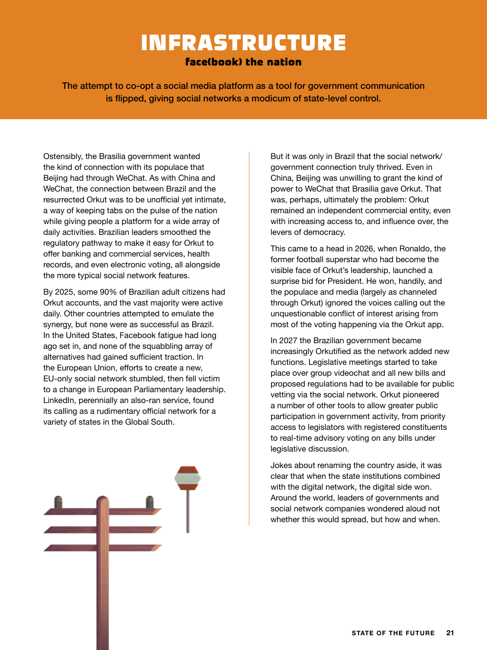# INFRASTRUCTURE

#### face(book) the nation

The attempt to co-opt a social media platform as a tool for government communication is flipped, giving social networks a modicum of state-level control.

Ostensibly, the Brasilia government wanted the kind of connection with its populace that Beijing had through WeChat. As with China and WeChat, the connection between Brazil and the resurrected Orkut was to be unofficial yet intimate, a way of keeping tabs on the pulse of the nation while giving people a platform for a wide array of daily activities. Brazilian leaders smoothed the regulatory pathway to make it easy for Orkut to offer banking and commercial services, health records, and even electronic voting, all alongside the more typical social network features.

By 2025, some 90% of Brazilian adult citizens had Orkut accounts, and the vast majority were active daily. Other countries attempted to emulate the synergy, but none were as successful as Brazil. In the United States, Facebook fatigue had long ago set in, and none of the squabbling array of alternatives had gained sufficient traction. In the European Union, efforts to create a new, EU-only social network stumbled, then fell victim to a change in European Parliamentary leadership. LinkedIn, perennially an also-ran service, found its calling as a rudimentary official network for a variety of states in the Global South.

But it was only in Brazil that the social network/ government connection truly thrived. Even in China, Beijing was unwilling to grant the kind of power to WeChat that Brasilia gave Orkut. That was, perhaps, ultimately the problem: Orkut remained an independent commercial entity, even with increasing access to, and influence over, the levers of democracy.

This came to a head in 2026, when Ronaldo, the former football superstar who had become the visible face of Orkut's leadership, launched a surprise bid for President. He won, handily, and the populace and media (largely as channeled through Orkut) ignored the voices calling out the unquestionable conflict of interest arising from most of the voting happening via the Orkut app.

In 2027 the Brazilian government became increasingly Orkutified as the network added new functions. Legislative meetings started to take place over group videochat and all new bills and proposed regulations had to be available for public vetting via the social network. Orkut pioneered a number of other tools to allow greater public participation in government activity, from priority access to legislators with registered constituents to real-time advisory voting on any bills under legislative discussion.

Jokes about renaming the country aside, it was clear that when the state institutions combined with the digital network, the digital side won. Around the world, leaders of governments and social network companies wondered aloud not whether this would spread, but how and when.